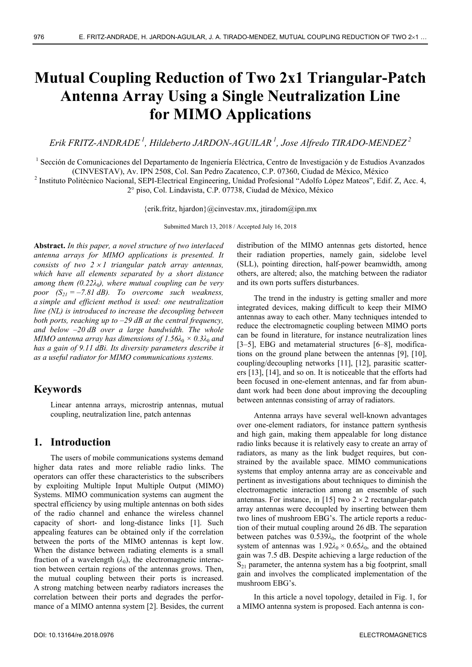# **Mutual Coupling Reduction of Two 2x1 Triangular-Patch Antenna Array Using a Single Neutralization Line for MIMO Applications**

*Erik FRITZ-ANDRADE 1, Hildeberto JARDON-AGUILAR 1, Jose Alfredo TIRADO-MENDEZ 2*

<sup>1</sup> Sección de Comunicaciones del Departamento de Ingeniería Eléctrica, Centro de Investigación y de Estudios Avanzados (CINVESTAV), Av. IPN 2508, Col. San Pedro Zacatenco, C.P. 07360, Ciudad de México, México 2

<sup>2</sup> Instituto Politécnico Nacional, SEPI-Electrical Engineering, Unidad Profesional "Adolfo López Mateos", Edif. Z, Acc. 4, 2° piso, Col. Lindavista, C.P. 07738, Ciudad de México, México

{erik.fritz, hjardon}@cinvestav.mx, jtiradom@ipn.mx

Submitted March 13, 2018 / Accepted July 16, 2018

**Abstract.** *In this paper, a novel structure of two interlaced antenna arrays for MIMO applications is presented. It consists of two*  $2 \times 1$  *triangular patch array antennas, which have all elements separated by a short distance among them*  $(0.22\lambda_0)$ *, where mutual coupling can be very poor (S21 = –7.81 dB). To overcome such weakness, a simple and efficient method is used: one neutralization line (NL) is introduced to increase the decoupling between both ports, reaching up to –29 dB at the central frequency, and below –20 dB over a large bandwidth. The whole MIMO antenna array has dimensions of*  $1.56\lambda_0 \times 0.3\lambda_0$  *and has a gain of 9.11 dBi. Its diversity parameters describe it as a useful radiator for MIMO communications systems.* 

# **Keywords**

Linear antenna arrays, microstrip antennas, mutual coupling, neutralization line, patch antennas

## **1. Introduction**

The users of mobile communications systems demand higher data rates and more reliable radio links. The operators can offer these characteristics to the subscribers by exploiting Multiple Input Multiple Output (MIMO) Systems. MIMO communication systems can augment the spectral efficiency by using multiple antennas on both sides of the radio channel and enhance the wireless channel capacity of short- and long-distance links [1]. Such appealing features can be obtained only if the correlation between the ports of the MIMO antennas is kept low. When the distance between radiating elements is a small fraction of a wavelength  $(\lambda_0)$ , the electromagnetic interaction between certain regions of the antennas grows. Then, the mutual coupling between their ports is increased. A strong matching between nearby radiators increases the correlation between their ports and degrades the performance of a MIMO antenna system [2]. Besides, the current

distribution of the MIMO antennas gets distorted, hence their radiation properties, namely gain, sidelobe level (SLL), pointing direction, half-power beamwidth, among others, are altered; also, the matching between the radiator and its own ports suffers disturbances.

The trend in the industry is getting smaller and more integrated devices, making difficult to keep their MIMO antennas away to each other. Many techniques intended to reduce the electromagnetic coupling between MIMO ports can be found in literature, for instance neutralization lines [3–5], EBG and metamaterial structures [6–8], modifications on the ground plane between the antennas [9], [10], coupling/decoupling networks [11], [12], parasitic scatterers [13], [14], and so on. It is noticeable that the efforts had been focused in one-element antennas, and far from abundant work had been done about improving the decoupling between antennas consisting of array of radiators.

Antenna arrays have several well-known advantages over one-element radiators, for instance pattern synthesis and high gain, making them appealable for long distance radio links because it is relatively easy to create an array of radiators, as many as the link budget requires, but constrained by the available space. MIMO communications systems that employ antenna array are as conceivable and pertinent as investigations about techniques to diminish the electromagnetic interaction among an ensemble of such antennas. For instance, in [15] two  $2 \times 2$  rectangular-patch array antennas were decoupled by inserting between them two lines of mushroom EBG's. The article reports a reduction of their mutual coupling around 26 dB. The separation between patches was  $0.539\lambda_0$ , the footprint of the whole system of antennas was  $1.92\lambda_0 \times 0.65\lambda_0$ , and the obtained gain was 7.5 dB. Despite achieving a large reduction of the  $S_{21}$  parameter, the antenna system has a big footprint, small gain and involves the complicated implementation of the mushroom EBG's.

In this article a novel topology, detailed in Fig. 1, for a MIMO antenna system is proposed. Each antenna is con-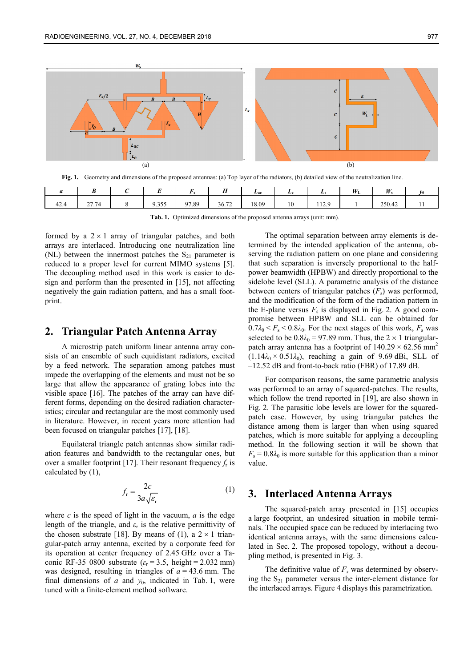

**Fig. 1.** Geometry and dimensions of the proposed antennas: (a) Top layer of the radiators, (b) detailed view of the neutralization line.

|      |                   |                     |       | $-$<br> | L <sub>ac</sub> | Le | ы,           | $W_{\rm L}$ | $\mathbf{H}$ |  |
|------|-------------------|---------------------|-------|---------|-----------------|----|--------------|-------------|--------------|--|
| 42.4 | 277<br>74<br>21.1 | 0.255<br>u<br>,,,,, | 97.89 | 36.72   | 18.09           | 10 | 120<br>114.7 |             | 250.42       |  |

**Tab. 1.** Optimized dimensions of the proposed antenna arrays (unit: mm).

formed by a  $2 \times 1$  array of triangular patches, and both arrays are interlaced. Introducing one neutralization line (NL) between the innermost patches the  $S_{21}$  parameter is reduced to a proper level for current MIMO systems [5]. The decoupling method used in this work is easier to design and perform than the presented in [15], not affecting negatively the gain radiation pattern, and has a small footprint.

### **2. Triangular Patch Antenna Array**

A microstrip patch uniform linear antenna array consists of an ensemble of such equidistant radiators, excited by a feed network. The separation among patches must impede the overlapping of the elements and must not be so large that allow the appearance of grating lobes into the visible space [16]. The patches of the array can have different forms, depending on the desired radiation characteristics; circular and rectangular are the most commonly used in literature. However, in recent years more attention had been focused on triangular patches [17], [18].

Equilateral triangle patch antennas show similar radiation features and bandwidth to the rectangular ones, but over a smaller footprint [17]. Their resonant frequency  $f<sub>r</sub>$  is calculated by (1),

$$
f_{\rm r} = \frac{2c}{3a\sqrt{\varepsilon_{\rm r}}}
$$
 (1)

where  $c$  is the speed of light in the vacuum,  $a$  is the edge length of the triangle, and  $\varepsilon$ <sub>r</sub> is the relative permittivity of the chosen substrate [18]. By means of (1), a  $2 \times 1$  triangular-patch array antenna, excited by a corporate feed for its operation at center frequency of 2.45 GHz over a Taconic RF-35 0800 substrate  $(\varepsilon_r = 3.5, \text{ height} = 2.032 \text{ mm})$ was designed, resulting in triangles of  $a = 43.6$  mm. The final dimensions of  $a$  and  $y_0$ , indicated in Tab. 1, were tuned with a finite-element method software.

The optimal separation between array elements is determined by the intended application of the antenna, observing the radiation pattern on one plane and considering that such separation is inversely proportional to the halfpower beamwidth (HPBW) and directly proportional to the sidelobe level (SLL). A parametric analysis of the distance between centers of triangular patches  $(F_s)$  was performed. and the modification of the form of the radiation pattern in the E-plane versus  $F_s$  is displayed in Fig. 2. A good compromise between HPBW and SLL can be obtained for  $0.7\lambda_0 \leq F_s \leq 0.8\lambda_0$ . For the next stages of this work,  $F_s$  was selected to be  $0.8\lambda_0 = 97.89$  mm. Thus, the  $2 \times 1$  triangularpatch array antenna has a footprint of  $140.29 \times 62.56$  mm<sup>2</sup>  $(1.14\lambda_0 \times 0.51\lambda_0)$ , reaching a gain of 9.69 dBi, SLL of –12.52 dB and front-to-back ratio (FBR) of 17.89 dB.

For comparison reasons, the same parametric analysis was performed to an array of squared-patches. The results, which follow the trend reported in [19], are also shown in Fig. 2. The parasitic lobe levels are lower for the squaredpatch case. However, by using triangular patches the distance among them is larger than when using squared patches, which is more suitable for applying a decoupling method. In the following section it will be shown that  $F_s = 0.8\lambda_0$  is more suitable for this application than a minor value.

### **3. Interlaced Antenna Arrays**

The squared-patch array presented in [15] occupies a large footprint, an undesired situation in mobile terminals. The occupied space can be reduced by interlacing two identical antenna arrays, with the same dimensions calculated in Sec. 2. The proposed topology, without a decoupling method, is presented in Fig. 3.

The definitive value of  $F<sub>s</sub>$  was determined by observing the  $S_{21}$  parameter versus the inter-element distance for the interlaced arrays. Figure 4 displays this parametrization.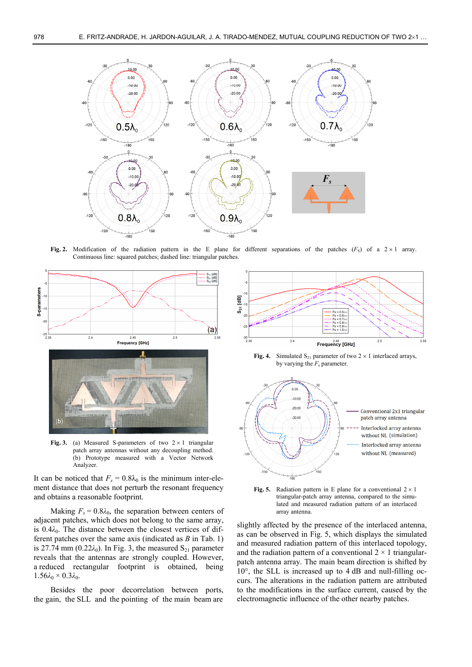

**Fig. 2.** Modification of the radiation pattern in the E plane for different separations of the patches  $(F_S)$  of a  $2 \times 1$  array. Continuous line: squared patches; dashed line: triangular patches.



Fig. 3. (a) Measured S-parameters of two  $2 \times 1$  triangular patch array antennas without any decoupling method. (b) Prototype measured with a Vector Network Analyzer.

It can be noticed that  $F_s = 0.8\lambda_0$  is the minimum inter-element distance that does not perturb the resonant frequency and obtains a reasonable footprint.

Making  $F_s = 0.8\lambda_0$ , the separation between centers of adjacent patches, which does not belong to the same array, is 0.4λ<sub>0</sub>. The distance between the closest vertices of different patches over the same axis (indicated as *B* in Tab. 1) is 27.74 mm ( $0.22\lambda_0$ ). In Fig. 3, the measured S<sub>21</sub> parameter reveals that the antennas are strongly coupled. However, a reduced rectangular footprint is obtained, being  $1.56\lambda_0 \times 0.3\lambda_0$ .

Besides the poor decorrelation between ports, the gain, the SLL and the pointing of the main beam are



**Fig. 4.** Simulated  $S_{21}$  parameter of two  $2 \times 1$  interlaced arrays, by varying the *F*s parameter.



**Fig. 5.** Radiation pattern in E plane for a conventional  $2 \times 1$ triangular-patch array antenna, compared to the simulated and measured radiation pattern of an interlaced array antenna.

slightly affected by the presence of the interlaced antenna, as can be observed in Fig. 5, which displays the simulated and measured radiation pattern of this interlaced topology, and the radiation pattern of a conventional  $2 \times 1$  triangularpatch antenna array. The main beam direction is shifted by 10°, the SLL is increased up to 4 dB and null-filling occurs. The alterations in the radiation pattern are attributed to the modifications in the surface current, caused by the electromagnetic influence of the other nearby patches.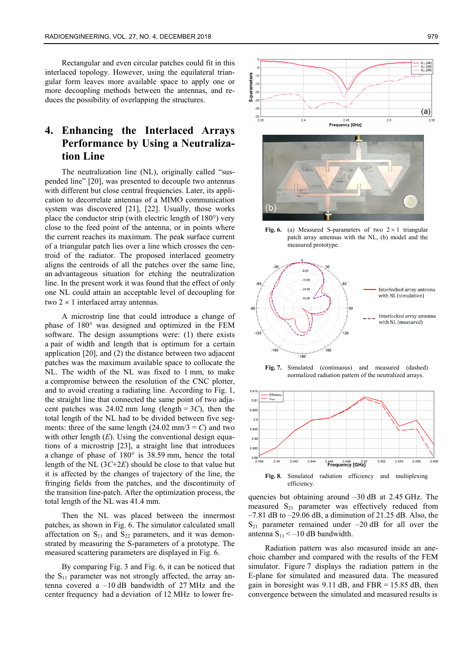Rectangular and even circular patches could fit in this interlaced topology. However, using the equilateral triangular form leaves more available space to apply one or more decoupling methods between the antennas, and reduces the possibility of overlapping the structures.

# **4. Enhancing the Interlaced Arrays Performance by Using a Neutralization Line**

The neutralization line (NL), originally called "suspended line" [20], was presented to decouple two antennas with different but close central frequencies. Later, its application to decorrelate antennas of a MIMO communication system was discovered [21], [22]. Usually, those works place the conductor strip (with electric length of 180°) very close to the feed point of the antenna, or in points where the current reaches its maximum. The peak surface current of a triangular patch lies over a line which crosses the centroid of the radiator. The proposed interlaced geometry aligns the centroids of all the patches over the same line, an advantageous situation for etching the neutralization line. In the present work it was found that the effect of only one NL could attain an acceptable level of decoupling for two  $2 \times 1$  interlaced array antennas.

A microstrip line that could introduce a change of phase of 180° was designed and optimized in the FEM software. The design assumptions were: (1) there exists a pair of width and length that is optimum for a certain application [20], and (2) the distance between two adjacent patches was the maximum available space to collocate the NL. The width of the NL was fixed to 1 mm, to make a compromise between the resolution of the CNC plotter, and to avoid creating a radiating line. According to Fig. 1, the straight line that connected the same point of two adjacent patches was  $24.02$  mm long (length =  $3C$ ), then the total length of the NL had to be divided between five segments: three of the same length  $(24.02 \text{ mm}/3 = C)$  and two with other length (*E*). Using the conventional design equations of a microstrip [23], a straight line that introduces a change of phase of 180° is 38.59 mm, hence the total length of the NL (3*C*+2*E*) should be close to that value but it is affected by the changes of trajectory of the line, the fringing fields from the patches, and the discontinuity of the transition line-patch. After the optimization process, the total length of the NL was 41.4 mm.

Then the NL was placed between the innermost patches, as shown in Fig. 6. The simulator calculated small affectation on  $S_{11}$  and  $S_{22}$  parameters, and it was demonstrated by measuring the S-parameters of a prototype. The measured scattering parameters are displayed in Fig. 6.

By comparing Fig. 3 and Fig. 6, it can be noticed that the  $S_{11}$  parameter was not strongly affected, the array antenna covered a –10 dB bandwidth of 27 MHz and the center frequency had a deviation of 12 MHz to lower fre-





Fig. 6. (a) Measured S-parameters of two  $2 \times 1$  triangular patch array antennas with the NL, (b) model and the measured prototype.



**Fig. 7.** Simulated (continuous) and measured (dashed) normalized radiation pattern of the neutralized arrays.



quencies but obtaining around –30 dB at 2.45 GHz. The measured  $S_{21}$  parameter was effectively reduced from  $-7.81$  dB to  $-29.06$  dB, a diminution of 21.25 dB. Also, the  $S_{21}$  parameter remained under  $-20$  dB for all over the antenna  $S_{11} < -10$  dB bandwidth.

Radiation pattern was also measured inside an anechoic chamber and compared with the results of the FEM simulator. Figure 7 displays the radiation pattern in the E-plane for simulated and measured data. The measured gain in boresight was  $9.11$  dB, and FBR = 15.85 dB, then convergence between the simulated and measured results is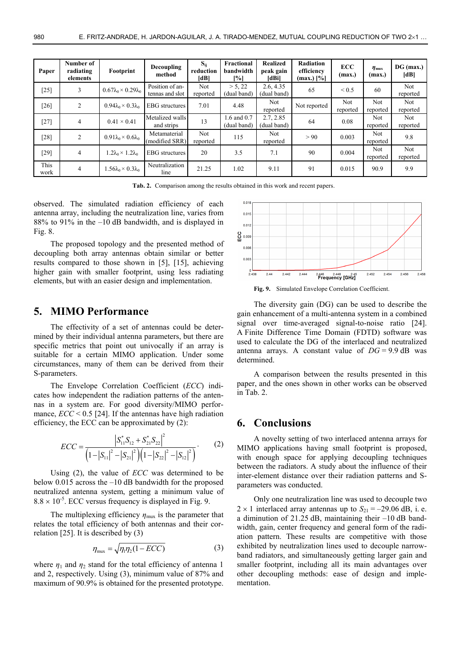| Paper        | Number of<br>radiating<br>elements | Footprint                            | <b>Decoupling</b><br>method        | $S_{ii}$<br>reduction<br>IdBl | Fractional<br>bandwidth<br>[%] | <b>Realized</b><br>peak gain<br><b>IdBil</b> | Radiation<br>efficiency<br>$(max.)$ [%] | <b>ECC</b><br>(max.) | $\eta_{\text{mu}}$<br>(max.) | $DG$ (max.)<br>[dB] |
|--------------|------------------------------------|--------------------------------------|------------------------------------|-------------------------------|--------------------------------|----------------------------------------------|-----------------------------------------|----------------------|------------------------------|---------------------|
| [25]         | 3                                  | $0.67\lambda_0 \times 0.29\lambda_0$ | Position of an-<br>tennas and slot | Not<br>reported               | > 5, 22<br>(dual band)         | 2.6, 4.35<br>(dual band)                     | 65                                      | ${}_{0.5}$           | 60                           | Not.<br>reported    |
| [26]         | 2                                  | $0.94\lambda_0 \times 0.3\lambda_0$  | <b>EBG</b> structures              | 7.01                          | 4.48                           | Not.<br>reported                             | Not reported                            | Not<br>reported      | Not<br>reported              | Not.<br>reported    |
| [27]         | $\overline{4}$                     | $0.41 \times 0.41$                   | Metalized walls<br>and strips      | 13                            | 1.6 and 0.7<br>(dual band)     | 2.7, 2.85<br>(dual band)                     | 64                                      | 0.08                 | Not<br>reported              | Not.<br>reported    |
| [28]         | 2                                  | $0.91\lambda_0 \times 0.6\lambda_0$  | Metamaterial<br>(modified SRR)     | Not<br>reported               | 115                            | Not.<br>reported                             | > 90                                    | 0.003                | Not.<br>reported             | 9.8                 |
| [29]         | $\overline{4}$                     | $1.2\lambda_0 \times 1.2\lambda_0$   | <b>EBG</b> structures              | 20                            | 3.5                            | 7.1                                          | 90                                      | 0.004                | Not<br>reported              | Not.<br>reported    |
| This<br>work | $\overline{4}$                     | $1.56\lambda_0 \times 0.3\lambda_0$  | Neutralization<br>line             | 21.25                         | 1.02                           | 9.11                                         | 91                                      | 0.015                | 90.9                         | 9.9                 |

**Tab. 2.** Comparison among the results obtained in this work and recent papers.

observed. The simulated radiation efficiency of each antenna array, including the neutralization line, varies from 88% to 91% in the –10 dB bandwidth, and is displayed in Fig. 8.

The proposed topology and the presented method of decoupling both array antennas obtain similar or better results compared to those shown in [5], [15], achieving higher gain with smaller footprint, using less radiating elements, but with an easier design and implementation.

# **5. MIMO Performance**

The effectivity of a set of antennas could be determined by their individual antenna parameters, but there are specific metrics that point out univocally if an array is suitable for a certain MIMO application. Under some circumstances, many of them can be derived from their S-parameters.

The Envelope Correlation Coefficient (*ECC*) indicates how independent the radiation patterns of the antennas in a system are. For good diversity/MIMO performance,  $\text{ECC}$  < 0.5 [24]. If the antennas have high radiation efficiency, the ECC can be approximated by (2):

$$
ECC = \frac{\left| S_{11}^{*} S_{12} + S_{21}^{*} S_{22} \right|^2}{\left(1 - \left| S_{11} \right|^2 - \left| S_{21} \right|^2 \right) \left(1 - \left| S_{22} \right|^2 - \left| S_{12} \right|^2 \right)}.
$$
 (2)

Using (2), the value of *ECC* was determined to be below 0.015 across the –10 dB bandwidth for the proposed neutralized antenna system, getting a minimum value of  $8.8 \times 10^{-5}$ . ECC versus frequency is displayed in Fig. 9.

The multiplexing efficiency  $\eta_{\text{max}}$  is the parameter that relates the total efficiency of both antennas and their correlation [25]. It is described by (3)

$$
\eta_{\text{max}} = \sqrt{\eta_1 \eta_2 (1 - ECC)}
$$
 (3)

where  $\eta_1$  and  $\eta_2$  stand for the total efficiency of antenna 1 and 2, respectively. Using (3), minimum value of 87% and maximum of 90.9% is obtained for the presented prototype.



**Fig. 9.** Simulated Envelope Correlation Coefficient.

The diversity gain (DG) can be used to describe the gain enhancement of a multi-antenna system in a combined signal over time-averaged signal-to-noise ratio [24]. A Finite Difference Time Domain (FDTD) software was used to calculate the DG of the interlaced and neutralized antenna arrays. A constant value of  $DG = 9.9$  dB was determined.

A comparison between the results presented in this paper, and the ones shown in other works can be observed in Tab. 2.

## **6. Conclusions**

A novelty setting of two interlaced antenna arrays for MIMO applications having small footprint is proposed, with enough space for applying decoupling techniques between the radiators. A study about the influence of their inter-element distance over their radiation patterns and Sparameters was conducted.

Only one neutralization line was used to decouple two  $2 \times 1$  interlaced array antennas up to  $S_{21} = -29.06$  dB, i. e. a diminution of 21.25 dB, maintaining their –10 dB bandwidth, gain, center frequency and general form of the radiation pattern. These results are competitive with those exhibited by neutralization lines used to decouple narrowband radiators, and simultaneously getting larger gain and smaller footprint, including all its main advantages over other decoupling methods: ease of design and implementation.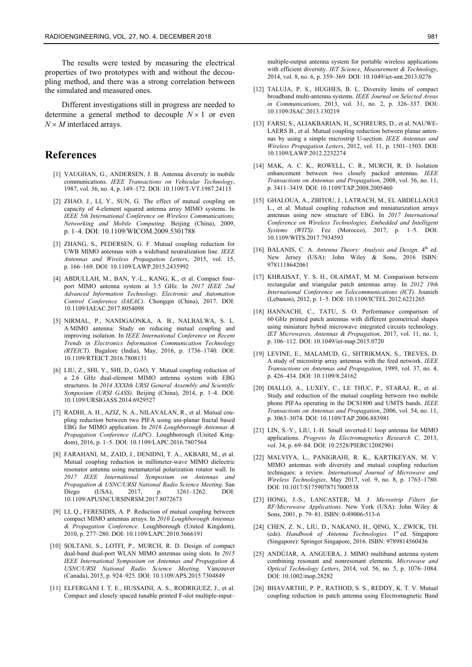The results were tested by measuring the electrical properties of two prototypes with and without the decoupling method, and there was a strong correlation between the simulated and measured ones.

Different investigations still in progress are needed to determine a general method to decouple  $N \times 1$  or even  $N \times M$  interlaced arrays.

# **References**

- [1] VAUGHAN, G., ANDERSEN, J. B. Antenna diversity in mobile communications. *IEEE Transactions on Vehicular Technology*, 1987, vol. 36, no. 4, p. 149–172. DOI: 10.1109/T-VT.1987.24115
- [2] ZHAO, J., LI, Y., SUN, G. The effect of mutual coupling on capacity of 4-element squared antenna array MIMO systems. In *IEEE 5th International Conference on Wireless Communications, Networking and Mobile Computing*. Beijing (China), 2009, p. 1–4. DOI: 10.1109/WICOM.2009.5301788
- [3] ZHANG, S., PEDERSEN, G. F. Mutual coupling reduction for UWB MIMO antennas with a wideband neutralization line. *IEEE Antennas and Wireless Propagation Letters*, 2015, vol. 15, p. 166–169. DOI: 10.1109/LAWP.2015.2435992
- [4] ABDULLAH, M., BAN, Y.-L., KANG, K., et al. Compact fourport MIMO antenna system at 3.5 GHz. In *2017 IEEE 2nd Advanced Information Technology, Electronic and Automation Control Conference (IAEAC)*. Chongqin (China), 2017. DOI: 10.1109/IAEAC.2017.8054098
- [5] NIRMAL, P., NANDGAONKA, A. B., NALBALWA, S. L. A MIMO antenna: Study on reducing mutual coupling and improving isolation. In *IEEE International Conference on Recent Trends in Electronics Information Communication Technology (RTEICT)*. Bagalore (India), May, 2016, p. 1736–1740. DOI: 10.1109/RTEICT.2016.7808131
- [6] LIU, Z., SHI, Y., SHI, D., GAO, Y. Mutual coupling reduction of a 2.6 GHz dual-element MIMO antenna system with EBG structures. In *2014 XXXIth URSI General Assembly and Scientific Symposium (URSI GASS)*. Beijing (China), 2014, p. 1–4. DOI: 10.1109/URSIGASS.2014.6929527
- [7] RADHI, A. H., AZIZ, N. A., NILAVALAN, R., et al. Mutual coupling reduction between two PIFA using uni-planar fractal based EBG for MIMO application. In *2016 Loughborough Antennas & Propagation Conference (LAPC)*. Loughborough (United Kingdom), 2016, p. 1–5. DOI: 10.1109/LAPC.2016.7807564
- [8] FARAHANI, M., ZAID, J., DENIDNI, T. A., AKBARI, M., et al. Mutual coupling reduction in millimeter-wave MIMO dielectric resonator antenna using metamaterial polarization rotator wall. In *2017 IEEE International Symposium on Antennas and Propagation & USNC/URSI National Radio Science Meeting*. San Diego (USA), 2017, p. 1261–1262. DOI: 10.1109/APUSNCURSINRSM.2017.8072673
- [9] LI, Q., FERESIDIS, A. P. Reduction of mutual coupling between compact MIMO antennas arrays. In *2010 Loughborough Antennas & Propagation Conference.* Loughborough (United Kingdom), 2010, p. 277–280. DOI: 10.1109/LAPC.2010.5666191
- [10] SOLTANI, S., LOTFI, P., MURCH, R. D. Design of compact dual-band dual-port WLAN MIMO antennas using slots. In *2015 IEEE International Symposium on Antennas and Propagation & USNC/URSI National Radio Science Meeting*. Vancouver (Canada), 2015, p. 924–925. DOI: 10.1109/APS.2015.7304849
- [11] ELFERGANI I. T. E., HUSSAINI, A. S., RODRIGUEZ, J., et al. Compact and closely spaced tunable printed F-slot multiple-input–

multiple-output antenna system for portable wireless applications with efficient diversity. *IET Science, Measurement & Technology*, 2014, vol. 8, no. 6, p. 359–369. DOI: 10.1049/iet-smt.2013.0276

- [12] TALUJA, P. S., HUGHES, B. L. Diversity limits of compact broadband multi-antenna systems. *IEEE Journal on Selected Areas in Communications*, 2013, vol. 31, no. 2, p. 326–337. DOI: 10.1109/JSAC.2013.130219
- [13] FARSI, S., ALIAKBARIAN, H., SCHREURS, D., et al. NAUWE-LAERS B., et al. Mutual coupling reduction between planar antennas by using a simple microstrip U-section. *IEEE Antennas and Wireless Propagation Letters*, 2012, vol. 11, p. 1501–1503. DOI: 10.1109/LAWP.2012.2232274
- [14] MAK, A. C. K., ROWELL, C. R., MURCH, R. D. Isolation enhancement between two closely packed antennas. *IEEE Transactions on Antennas and Propagation*, 2008, vol. 56, no. 11, p. 3411–3419. DOI: 10.1109/TAP.2008.2005460
- [15] GHALOUA, A., ZBITOU, J., LATRACH, M., EL ABDELLAOUI L., et al. Mutual coupling reduction and miniaturization arrays antennas using new structure of EBG. In *2017 International Conference on Wireless Technologies, Embedded and Intelligent Systems (WITS)*. Fez (Morocco), 2017, p. 1–5. DOI: 10.1109/WITS.2017.7934593
- [16] BALANIS, C. A. *Antenna Theory: Analysis and Design*. 4<sup>th</sup> ed. New Jersey (USA): John Wiley & Sons, 2016 ISBN: 9781118642061
- [17] KHRAISAT, Y. S. H., OLAIMAT, M. M. Comparison between rectangular and triangular patch antennas array. In *2012 19th International Conference on Telecommunications (ICT)*. Jounieh (Lebanon), 2012, p. 1–5. DOI: 10.1109/ICTEL.2012.6221265
- [18] HANNACHI, C., TATU, S. O. Performance comparison of 60 GHz printed patch antennas with different geometrical shapes using miniature hybrid microwave integrated circuits technology. *IET Microwaves, Antennas & Propagation*, 2017, vol. 11, no. 1, p. 106–112. DOI: 10.1049/iet-map.2015.0720
- [19] LEVINE, E., MALAMUD, G., SHTRIKMAN, S., TREVES, D. A study of microstrip array antennas with the feed network. *IEEE Transactions on Antennas and Propagation*, 1989, vol. 37, no. 4, p. 426–434. DOI: 10.1109/8.24162
- [20] DIALLO, A., LUXEY, C., LE THUC, P., STARAJ, R., et al. Study and reduction of the mutual coupling between two mobile phone PIFAs operating in the DCS1800 and UMTS bands. *IEEE Transactions on Antennas and Propagation*, 2006, vol. 54, no. 11, p. 3063–3074. DOI: 10.1109/TAP.2006.883981
- [21] LIN, S.-Y., LIU, I.-H. Small inverted-U loop antenna for MIMO applications. *Progress In Electromagnetics Research C*, 2013, vol. 34, p. 69–84. DOI: 10.2528/PIERC12082901
- [22] MALVIYA, L., PANIGRAHI, R. K., KARTIKEYAN, M. V. MIMO antennas with diversity and mutual coupling reduction techniques: a review. *International Journal of Microwave and Wireless Technologies*, May 2017, vol. 9, no. 8, p. 1763–1780. DOI: 10.1017/S1759078717000538
- [23] HONG, J.-S., LANCASTER, M. J. *Microstrip Filters for RF/Microwave Applications*. New York (USA): John Wiley & Sons, 2001, p. 79–81. ISBN: 0-89006-513-6
- [24] CHEN, Z. N., LIU, D., NAKANO, H., QING, X., ZWICK, TH. (eds). *Handbook of Antenna Technologies*. 1<sup>st</sup> ed. Singapore (Singapore): Springer Singapore, 2016. ISBN: 9789814560436
- [25] ANDÚJAR, A. ANGUERA, J. MIMO multiband antenna system combining resonant and nonresonant elements. *Microwave and Optical Technology Letters*, 2014, vol. 56, no. 5, p. 1076–1084. DOI: 10.1002/mop.28282
- [26] BHAVARTHE, P. P., RATHOD, S. S., REDDY, K. T. V. Mutual coupling reduction in patch antenna using Electromagnetic Band